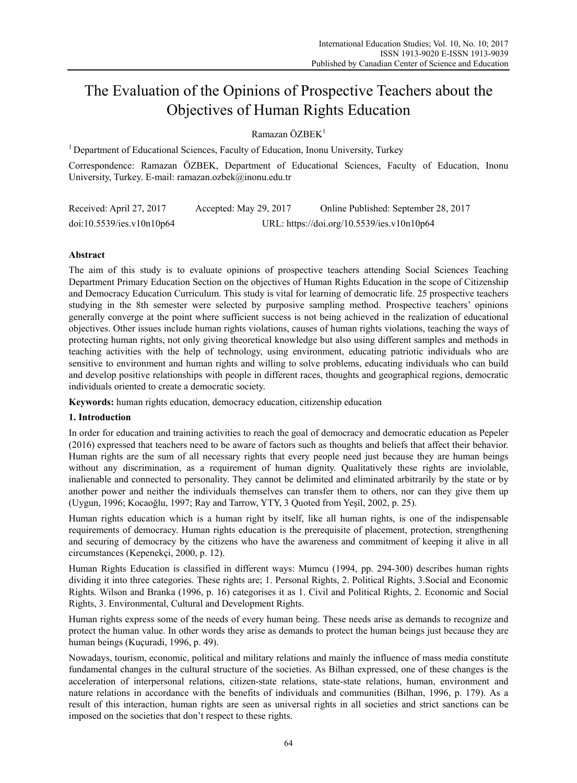# The Evaluation of the Opinions of Prospective Teachers about the Objectives of Human Rights Education

Ramazan ÖZBEK $1$ 

<sup>1</sup> Department of Educational Sciences, Faculty of Education, Inonu University, Turkey

Correspondence: Ramazan ÖZBEK, Department of Educational Sciences, Faculty of Education, Inonu University, Turkey. E-mail: ramazan.ozbek@inonu.edu.tr

| Received: April 27, 2017  | Accepted: May 29, 2017 | Online Published: September 28, 2017       |
|---------------------------|------------------------|--------------------------------------------|
| doi:10.5539/ies.v10n10p64 |                        | URL: https://doi.org/10.5539/ies.v10n10p64 |

# **Abstract**

The aim of this study is to evaluate opinions of prospective teachers attending Social Sciences Teaching Department Primary Education Section on the objectives of Human Rights Education in the scope of Citizenship and Democracy Education Curriculum. This study is vital for learning of democratic life. 25 prospective teachers studying in the 8th semester were selected by purposive sampling method. Prospective teachers' opinions generally converge at the point where sufficient success is not being achieved in the realization of educational objectives. Other issues include human rights violations, causes of human rights violations, teaching the ways of protecting human rights, not only giving theoretical knowledge but also using different samples and methods in teaching activities with the help of technology, using environment, educating patriotic individuals who are sensitive to environment and human rights and willing to solve problems, educating individuals who can build and develop positive relationships with people in different races, thoughts and geographical regions, democratic individuals oriented to create a democratic society.

**Keywords:** human rights education, democracy education, citizenship education

# **1. Introduction**

In order for education and training activities to reach the goal of democracy and democratic education as Pepeler (2016) expressed that teachers need to be aware of factors such as thoughts and beliefs that affect their behavior. Human rights are the sum of all necessary rights that every people need just because they are human beings without any discrimination, as a requirement of human dignity. Qualitatively these rights are inviolable, inalienable and connected to personality. They cannot be delimited and eliminated arbitrarily by the state or by another power and neither the individuals themselves can transfer them to others, nor can they give them up (Uygun, 1996; Kocaoğlu, 1997; Ray and Tarrow, YTY, 3 Quoted from Yeşil, 2002, p. 25).

Human rights education which is a human right by itself, like all human rights, is one of the indispensable requirements of democracy. Human rights education is the prerequisite of placement, protection, strengthening and securing of democracy by the citizens who have the awareness and commitment of keeping it alive in all circumstances (Kepenekçi, 2000, p. 12).

Human Rights Education is classified in different ways: Mumcu (1994, pp. 294-300) describes human rights dividing it into three categories. These rights are; 1. Personal Rights, 2. Political Rights, 3.Social and Economic Rights. Wilson and Branka (1996, p. 16) categorises it as 1. Civil and Political Rights, 2. Economic and Social Rights, 3. Environmental, Cultural and Development Rights.

Human rights express some of the needs of every human being. These needs arise as demands to recognize and protect the human value. In other words they arise as demands to protect the human beings just because they are human beings (Kuçuradi, 1996, p. 49).

Nowadays, tourism, economic, political and military relations and mainly the influence of mass media constitute fundamental changes in the cultural structure of the societies. As Bilhan expressed, one of these changes is the acceleration of interpersonal relations, citizen-state relations, state-state relations, human, environment and nature relations in accordance with the benefits of individuals and communities (Bilhan, 1996, p. 179). As a result of this interaction, human rights are seen as universal rights in all societies and strict sanctions can be imposed on the societies that don't respect to these rights.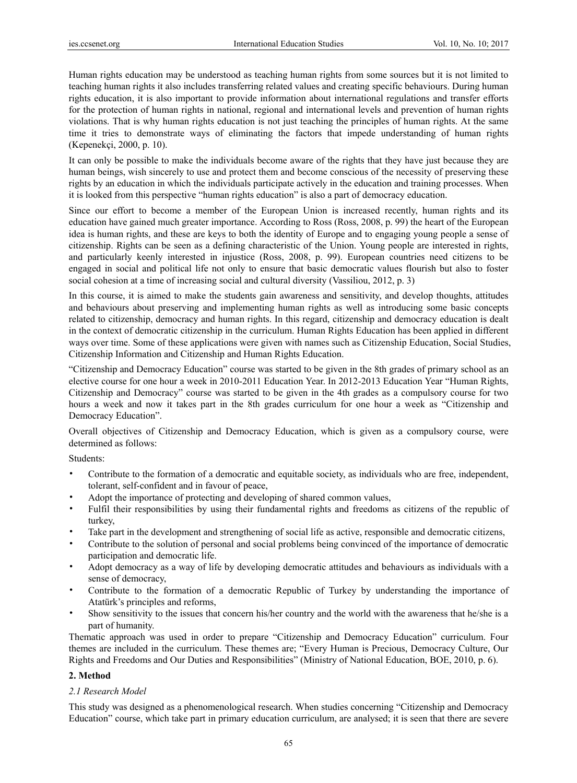Human rights education may be understood as teaching human rights from some sources but it is not limited to teaching human rights it also includes transferring related values and creating specific behaviours. During human rights education, it is also important to provide information about international regulations and transfer efforts for the protection of human rights in national, regional and international levels and prevention of human rights violations. That is why human rights education is not just teaching the principles of human rights. At the same time it tries to demonstrate ways of eliminating the factors that impede understanding of human rights (Kepenekçi, 2000, p. 10).

It can only be possible to make the individuals become aware of the rights that they have just because they are human beings, wish sincerely to use and protect them and become conscious of the necessity of preserving these rights by an education in which the individuals participate actively in the education and training processes. When it is looked from this perspective "human rights education" is also a part of democracy education.

Since our effort to become a member of the European Union is increased recently, human rights and its education have gained much greater importance. According to Ross (Ross, 2008, p. 99) the heart of the European idea is human rights, and these are keys to both the identity of Europe and to engaging young people a sense of citizenship. Rights can be seen as a defining characteristic of the Union. Young people are interested in rights, and particularly keenly interested in injustice (Ross, 2008, p. 99). European countries need citizens to be engaged in social and political life not only to ensure that basic democratic values flourish but also to foster social cohesion at a time of increasing social and cultural diversity (Vassiliou, 2012, p. 3)

In this course, it is aimed to make the students gain awareness and sensitivity, and develop thoughts, attitudes and behaviours about preserving and implementing human rights as well as introducing some basic concepts related to citizenship, democracy and human rights. In this regard, citizenship and democracy education is dealt in the context of democratic citizenship in the curriculum. Human Rights Education has been applied in different ways over time. Some of these applications were given with names such as Citizenship Education, Social Studies, Citizenship Information and Citizenship and Human Rights Education.

"Citizenship and Democracy Education" course was started to be given in the 8th grades of primary school as an elective course for one hour a week in 2010-2011 Education Year. In 2012-2013 Education Year "Human Rights, Citizenship and Democracy" course was started to be given in the 4th grades as a compulsory course for two hours a week and now it takes part in the 8th grades curriculum for one hour a week as "Citizenship and Democracy Education".

Overall objectives of Citizenship and Democracy Education, which is given as a compulsory course, were determined as follows:

Students:

- Contribute to the formation of a democratic and equitable society, as individuals who are free, independent, tolerant, self-confident and in favour of peace,
- Adopt the importance of protecting and developing of shared common values,
- Fulfil their responsibilities by using their fundamental rights and freedoms as citizens of the republic of turkey,
- Take part in the development and strengthening of social life as active, responsible and democratic citizens,
- Contribute to the solution of personal and social problems being convinced of the importance of democratic participation and democratic life.
- Adopt democracy as a way of life by developing democratic attitudes and behaviours as individuals with a sense of democracy,
- Contribute to the formation of a democratic Republic of Turkey by understanding the importance of Atatürk's principles and reforms,
- Show sensitivity to the issues that concern his/her country and the world with the awareness that he/she is a part of humanity.

Thematic approach was used in order to prepare "Citizenship and Democracy Education" curriculum. Four themes are included in the curriculum. These themes are; "Every Human is Precious, Democracy Culture, Our Rights and Freedoms and Our Duties and Responsibilities" (Ministry of National Education, BOE, 2010, p. 6).

## **2. Method**

## *2.1 Research Model*

This study was designed as a phenomenological research. When studies concerning "Citizenship and Democracy Education" course, which take part in primary education curriculum, are analysed; it is seen that there are severe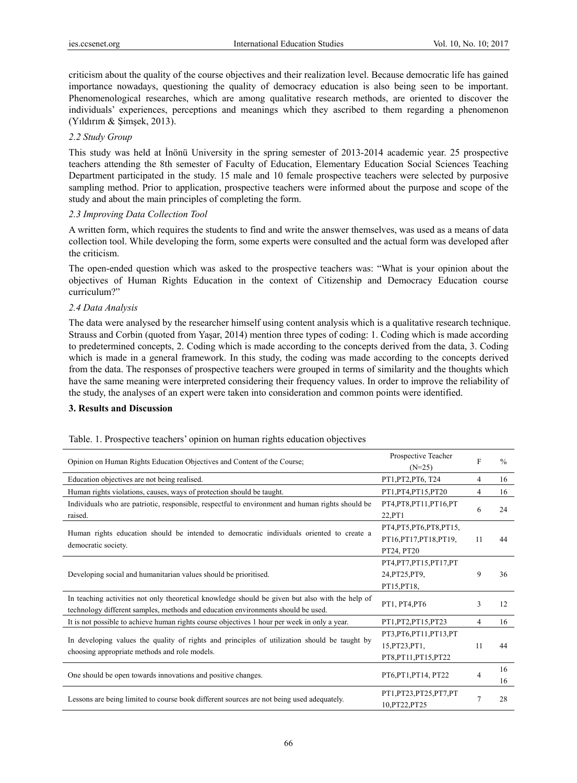criticism about the quality of the course objectives and their realization level. Because democratic life has gained importance nowadays, questioning the quality of democracy education is also being seen to be important. Phenomenological researches, which are among qualitative research methods, are oriented to discover the individuals' experiences, perceptions and meanings which they ascribed to them regarding a phenomenon (Yıldırım & Şimşek, 2013).

## *2.2 Study Group*

This study was held at İnönü University in the spring semester of 2013-2014 academic year. 25 prospective teachers attending the 8th semester of Faculty of Education, Elementary Education Social Sciences Teaching Department participated in the study. 15 male and 10 female prospective teachers were selected by purposive sampling method. Prior to application, prospective teachers were informed about the purpose and scope of the study and about the main principles of completing the form.

#### *2.3 Improving Data Collection Tool*

A written form, which requires the students to find and write the answer themselves, was used as a means of data collection tool. While developing the form, some experts were consulted and the actual form was developed after the criticism.

The open-ended question which was asked to the prospective teachers was: "What is your opinion about the objectives of Human Rights Education in the context of Citizenship and Democracy Education course curriculum?"

#### *2.4 Data Analysis*

The data were analysed by the researcher himself using content analysis which is a qualitative research technique. Strauss and Corbin (quoted from Yaşar, 2014) mention three types of coding: 1. Coding which is made according to predetermined concepts, 2. Coding which is made according to the concepts derived from the data, 3. Coding which is made in a general framework. In this study, the coding was made according to the concepts derived from the data. The responses of prospective teachers were grouped in terms of similarity and the thoughts which have the same meaning were interpreted considering their frequency values. In order to improve the reliability of the study, the analyses of an expert were taken into consideration and common points were identified.

#### **3. Results and Discussion**

| Opinion on Human Rights Education Objectives and Content of the Course;                                                                                                             | Prospective Teacher<br>$(N=25)$                                     | F  | $\frac{0}{0}$ |
|-------------------------------------------------------------------------------------------------------------------------------------------------------------------------------------|---------------------------------------------------------------------|----|---------------|
| Education objectives are not being realised.                                                                                                                                        | PT1, PT2, PT6, T24                                                  | 4  | 16            |
| Human rights violations, causes, ways of protection should be taught.                                                                                                               | PT1, PT4, PT15, PT20                                                | 4  | 16            |
| Individuals who are patriotic, responsible, respectful to environment and human rights should be<br>raised.                                                                         | PT4, PT8, PT11, PT16, PT<br>22, PT1                                 | 6  | 24            |
| Human rights education should be intended to democratic individuals oriented to create a<br>democratic society.                                                                     | PT4, PT5, PT6, PT8, PT15,<br>PT16, PT17, PT18, PT19,<br>PT24, PT20  | 11 | 44            |
| Developing social and humanitarian values should be prioritised.                                                                                                                    | PT4, PT7, PT15, PT17, PT<br>24, PT25, PT9,<br>PT15, PT18,           | 9  | 36            |
| In teaching activities not only theoretical knowledge should be given but also with the help of<br>technology different samples, methods and education environments should be used. | PT1, PT4, PT6                                                       | 3  | 12            |
| It is not possible to achieve human rights course objectives 1 hour per week in only a year.                                                                                        | PT1, PT2, PT15, PT23                                                | 4  | 16            |
| In developing values the quality of rights and principles of utilization should be taught by<br>choosing appropriate methods and role models.                                       | PT3, PT6, PT11, PT13, PT<br>15, PT23, PT1,<br>PT8, PT11, PT15, PT22 | 11 | 44            |
| One should be open towards innovations and positive changes.                                                                                                                        | PT6, PT1, PT14, PT22                                                | 4  | 16<br>16      |
| Lessons are being limited to course book different sources are not being used adequately.                                                                                           | PT1, PT23, PT25, PT7, PT<br>10, PT22, PT25                          |    | 28            |

#### Table. 1. Prospective teachers' opinion on human rights education objectives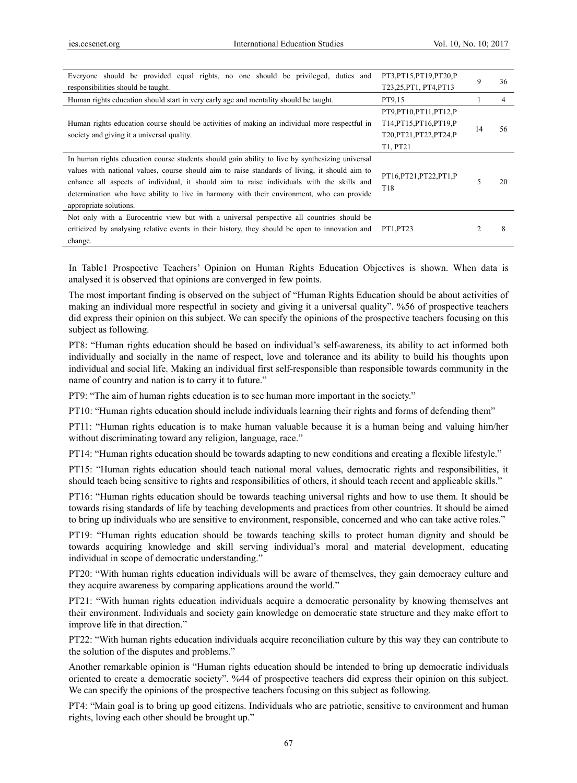| Everyone should be provided equal rights, no one should be privileged, duties and<br>responsibilities should be taught.                                                                                                                                                                                                                                                                                              | PT3, PT15, PT19, PT20, P<br>T23,25, PT1, PT4, PT13                                           | 9  | 36 |
|----------------------------------------------------------------------------------------------------------------------------------------------------------------------------------------------------------------------------------------------------------------------------------------------------------------------------------------------------------------------------------------------------------------------|----------------------------------------------------------------------------------------------|----|----|
| Human rights education should start in very early age and mentality should be taught.                                                                                                                                                                                                                                                                                                                                | PT9,15                                                                                       |    | 4  |
| Human rights education course should be activities of making an individual more respectful in<br>society and giving it a universal quality.                                                                                                                                                                                                                                                                          | PT9, PT10, PT11, PT12, P<br>T14, PT15, PT16, PT19, P<br>T20, PT21, PT22, PT24, P<br>T1, PT21 | 14 | 56 |
| In human rights education course students should gain ability to live by synthesizing universal<br>values with national values, course should aim to raise standards of living, it should aim to<br>enhance all aspects of individual, it should aim to raise individuals with the skills and<br>determination who have ability to live in harmony with their environment, who can provide<br>appropriate solutions. | PT16, PT21, PT22, PT1, P<br>T18                                                              |    | 20 |
| Not only with a Eurocentric view but with a universal perspective all countries should be<br>criticized by analysing relative events in their history, they should be open to innovation and<br>change.                                                                                                                                                                                                              | PT1.PT23                                                                                     |    | 8  |

In Table1 Prospective Teachers' Opinion on Human Rights Education Objectives is shown. When data is analysed it is observed that opinions are converged in few points.

The most important finding is observed on the subject of "Human Rights Education should be about activities of making an individual more respectful in society and giving it a universal quality". %56 of prospective teachers did express their opinion on this subject. We can specify the opinions of the prospective teachers focusing on this subject as following.

PT8: "Human rights education should be based on individual's self-awareness, its ability to act informed both individually and socially in the name of respect, love and tolerance and its ability to build his thoughts upon individual and social life. Making an individual first self-responsible than responsible towards community in the name of country and nation is to carry it to future."

PT9: "The aim of human rights education is to see human more important in the society."

PT10: "Human rights education should include individuals learning their rights and forms of defending them"

PT11: "Human rights education is to make human valuable because it is a human being and valuing him/her without discriminating toward any religion, language, race."

PT14: "Human rights education should be towards adapting to new conditions and creating a flexible lifestyle."

PT15: "Human rights education should teach national moral values, democratic rights and responsibilities, it should teach being sensitive to rights and responsibilities of others, it should teach recent and applicable skills."

PT16: "Human rights education should be towards teaching universal rights and how to use them. It should be towards rising standards of life by teaching developments and practices from other countries. It should be aimed to bring up individuals who are sensitive to environment, responsible, concerned and who can take active roles."

PT19: "Human rights education should be towards teaching skills to protect human dignity and should be towards acquiring knowledge and skill serving individual's moral and material development, educating individual in scope of democratic understanding."

PT20: "With human rights education individuals will be aware of themselves, they gain democracy culture and they acquire awareness by comparing applications around the world."

PT21: "With human rights education individuals acquire a democratic personality by knowing themselves ant their environment. Individuals and society gain knowledge on democratic state structure and they make effort to improve life in that direction."

PT22: "With human rights education individuals acquire reconciliation culture by this way they can contribute to the solution of the disputes and problems."

Another remarkable opinion is "Human rights education should be intended to bring up democratic individuals oriented to create a democratic society". %44 of prospective teachers did express their opinion on this subject. We can specify the opinions of the prospective teachers focusing on this subject as following.

PT4: "Main goal is to bring up good citizens. Individuals who are patriotic, sensitive to environment and human rights, loving each other should be brought up."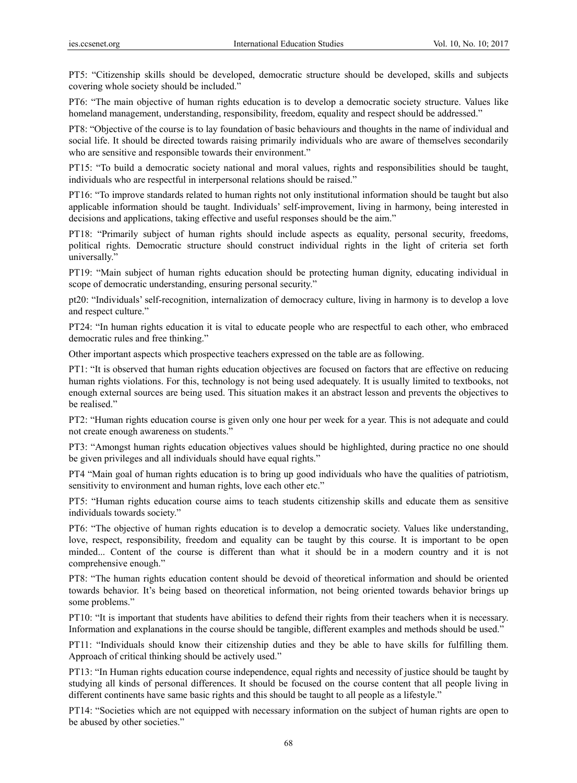PT5: "Citizenship skills should be developed, democratic structure should be developed, skills and subjects covering whole society should be included."

PT6: "The main objective of human rights education is to develop a democratic society structure. Values like homeland management, understanding, responsibility, freedom, equality and respect should be addressed."

PT8: "Objective of the course is to lay foundation of basic behaviours and thoughts in the name of individual and social life. It should be directed towards raising primarily individuals who are aware of themselves secondarily who are sensitive and responsible towards their environment."

PT15: "To build a democratic society national and moral values, rights and responsibilities should be taught, individuals who are respectful in interpersonal relations should be raised."

PT16: "To improve standards related to human rights not only institutional information should be taught but also applicable information should be taught. Individuals' self-improvement, living in harmony, being interested in decisions and applications, taking effective and useful responses should be the aim."

PT18: "Primarily subject of human rights should include aspects as equality, personal security, freedoms, political rights. Democratic structure should construct individual rights in the light of criteria set forth universally."

PT19: "Main subject of human rights education should be protecting human dignity, educating individual in scope of democratic understanding, ensuring personal security."

pt20: "Individuals' self-recognition, internalization of democracy culture, living in harmony is to develop a love and respect culture."

PT24: "In human rights education it is vital to educate people who are respectful to each other, who embraced democratic rules and free thinking."

Other important aspects which prospective teachers expressed on the table are as following.

PT1: "It is observed that human rights education objectives are focused on factors that are effective on reducing human rights violations. For this, technology is not being used adequately. It is usually limited to textbooks, not enough external sources are being used. This situation makes it an abstract lesson and prevents the objectives to be realised."

PT2: "Human rights education course is given only one hour per week for a year. This is not adequate and could not create enough awareness on students."

PT3: "Amongst human rights education objectives values should be highlighted, during practice no one should be given privileges and all individuals should have equal rights."

PT4 "Main goal of human rights education is to bring up good individuals who have the qualities of patriotism, sensitivity to environment and human rights, love each other etc."

PT5: "Human rights education course aims to teach students citizenship skills and educate them as sensitive individuals towards society."

PT6: "The objective of human rights education is to develop a democratic society. Values like understanding, love, respect, responsibility, freedom and equality can be taught by this course. It is important to be open minded... Content of the course is different than what it should be in a modern country and it is not comprehensive enough."

PT8: "The human rights education content should be devoid of theoretical information and should be oriented towards behavior. It's being based on theoretical information, not being oriented towards behavior brings up some problems."

PT10: "It is important that students have abilities to defend their rights from their teachers when it is necessary. Information and explanations in the course should be tangible, different examples and methods should be used."

PT11: "Individuals should know their citizenship duties and they be able to have skills for fulfilling them. Approach of critical thinking should be actively used."

PT13: "In Human rights education course independence, equal rights and necessity of justice should be taught by studying all kinds of personal differences. It should be focused on the course content that all people living in different continents have same basic rights and this should be taught to all people as a lifestyle."

PT14: "Societies which are not equipped with necessary information on the subject of human rights are open to be abused by other societies."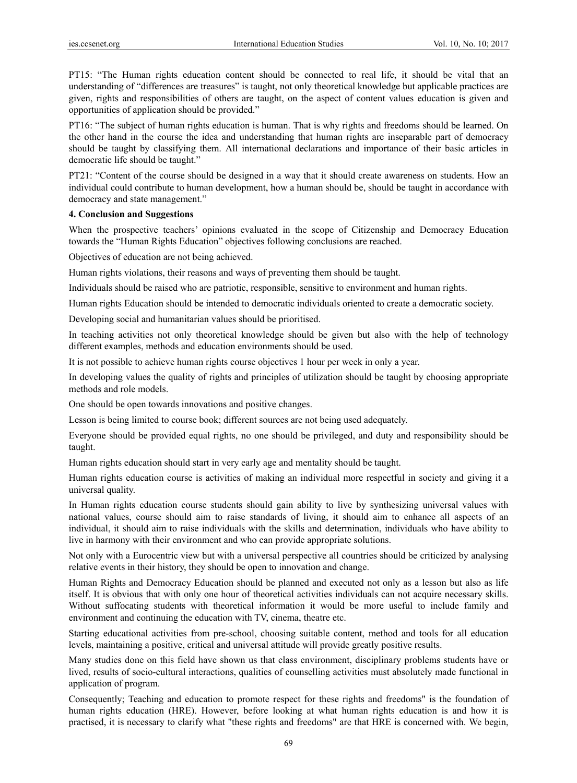PT15: "The Human rights education content should be connected to real life, it should be vital that an understanding of "differences are treasures" is taught, not only theoretical knowledge but applicable practices are given, rights and responsibilities of others are taught, on the aspect of content values education is given and opportunities of application should be provided."

PT16: "The subject of human rights education is human. That is why rights and freedoms should be learned. On the other hand in the course the idea and understanding that human rights are inseparable part of democracy should be taught by classifying them. All international declarations and importance of their basic articles in democratic life should be taught."

PT21: "Content of the course should be designed in a way that it should create awareness on students. How an individual could contribute to human development, how a human should be, should be taught in accordance with democracy and state management."

#### **4. Conclusion and Suggestions**

When the prospective teachers' opinions evaluated in the scope of Citizenship and Democracy Education towards the "Human Rights Education" objectives following conclusions are reached.

Objectives of education are not being achieved.

Human rights violations, their reasons and ways of preventing them should be taught.

Individuals should be raised who are patriotic, responsible, sensitive to environment and human rights.

Human rights Education should be intended to democratic individuals oriented to create a democratic society.

Developing social and humanitarian values should be prioritised.

In teaching activities not only theoretical knowledge should be given but also with the help of technology different examples, methods and education environments should be used.

It is not possible to achieve human rights course objectives 1 hour per week in only a year.

In developing values the quality of rights and principles of utilization should be taught by choosing appropriate methods and role models.

One should be open towards innovations and positive changes.

Lesson is being limited to course book; different sources are not being used adequately.

Everyone should be provided equal rights, no one should be privileged, and duty and responsibility should be taught.

Human rights education should start in very early age and mentality should be taught.

Human rights education course is activities of making an individual more respectful in society and giving it a universal quality.

In Human rights education course students should gain ability to live by synthesizing universal values with national values, course should aim to raise standards of living, it should aim to enhance all aspects of an individual, it should aim to raise individuals with the skills and determination, individuals who have ability to live in harmony with their environment and who can provide appropriate solutions.

Not only with a Eurocentric view but with a universal perspective all countries should be criticized by analysing relative events in their history, they should be open to innovation and change.

Human Rights and Democracy Education should be planned and executed not only as a lesson but also as life itself. It is obvious that with only one hour of theoretical activities individuals can not acquire necessary skills. Without suffocating students with theoretical information it would be more useful to include family and environment and continuing the education with TV, cinema, theatre etc.

Starting educational activities from pre-school, choosing suitable content, method and tools for all education levels, maintaining a positive, critical and universal attitude will provide greatly positive results.

Many studies done on this field have shown us that class environment, disciplinary problems students have or lived, results of socio-cultural interactions, qualities of counselling activities must absolutely made functional in application of program.

Consequently; Teaching and education to promote respect for these rights and freedoms" is the foundation of human rights education (HRE). However, before looking at what human rights education is and how it is practised, it is necessary to clarify what "these rights and freedoms" are that HRE is concerned with. We begin,